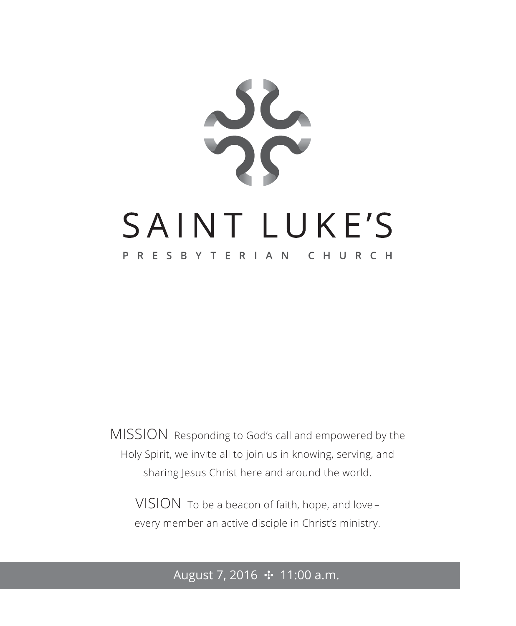

MISSION Responding to God's call and empowered by the Holy Spirit, we invite all to join us in knowing, serving, and sharing Jesus Christ here and around the world.

VISION To be a beacon of faith, hope, and love – every member an active disciple in Christ's ministry.

# August 7, 2016 ✣ 11:00 a.m.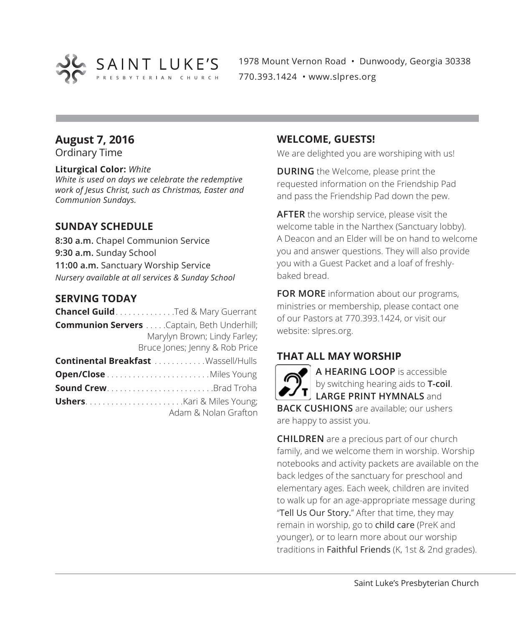

1978 Mount Vernon Road • Dunwoody, Georgia 30338 770.393.1424 • www.slpres.org

## **August 7, 2016**

Ordinary Time

#### **Liturgical Color:** *White*

*White is used on days we celebrate the redemptive work of Jesus Christ, such as Christmas, Easter and Communion Sundays.* 

#### **SUNDAY SCHEDULE**

**8:30 a.m.** Chapel Communion Service **9:30 a.m.** Sunday School **11:00 a.m.** Sanctuary Worship Service *Nursery available at all services & Sunday School*

#### **SERVING TODAY**

| <b>Chancel Guild</b> Ted & Mary Guerrant            |
|-----------------------------------------------------|
| <b>Communion Servers</b> . Captain, Beth Underhill; |
| Marylyn Brown; Lindy Farley;                        |
| Bruce Jones; Jenny & Rob Price                      |
| <b>Continental Breakfast</b> Wassell/Hulls          |
|                                                     |
| <b>Sound CrewBrad Troha</b>                         |
|                                                     |

Adam & Nolan Grafton

#### **WELCOME, GUESTS!**

We are delighted you are worshiping with us!

**DURING** the Welcome, please print the requested information on the Friendship Pad and pass the Friendship Pad down the pew.

**AFTER** the worship service, please visit the welcome table in the Narthex (Sanctuary lobby). A Deacon and an Elder will be on hand to welcome you and answer questions. They will also provide you with a Guest Packet and a loaf of freshlybaked bread.

**FOR MORE** information about our programs, ministries or membership, please contact one of our Pastors at 770.393.1424, or visit our website: slpres.org.

# **THAT ALL MAY WORSHIP**

**A HEARING LOOP** is accessible by switching hearing aids to **T-coil**. **LARGE PRINT HYMNALS** and **BACK CUSHIONS** are available; our ushers are happy to assist you.

**CHILDREN** are a precious part of our church family, and we welcome them in worship. Worship notebooks and activity packets are available on the back ledges of the sanctuary for preschool and elementary ages. Each week, children are invited to walk up for an age-appropriate message during "Tell Us Our Story." After that time, they may remain in worship, go to child care (PreK and younger), or to learn more about our worship traditions in Faithful Friends (K, 1st & 2nd grades).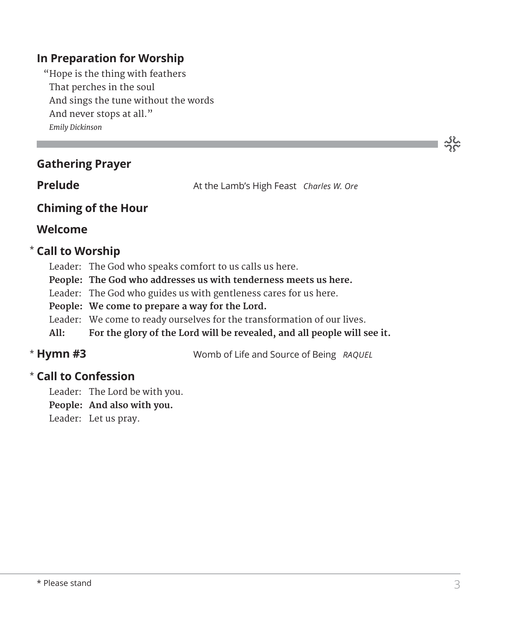# **In Preparation for Worship**

 "Hope is the thing with feathers That perches in the soul And sings the tune without the words And never stops at all." *Emily Dickinson*

| <b>Gathering Prayer</b> |
|-------------------------|
|                         |

**Prelude At the Lamb's High Feast** *Charles W. Ore* 

### **Chiming of the Hour**

#### **Welcome**

### **Call to Worship** \*

- Leader: The God who speaks comfort to us calls us here.
- **People: The God who addresses us with tenderness meets us here.**
- Leader: The God who guides us with gentleness cares for us here.
- **People: We come to prepare a way for the Lord.**
- Leader: We come to ready ourselves for the transformation of our lives.
- **All: For the glory of the Lord will be revealed, and all people will see it.**

# \* Hymn #3

**Hymn #3** Womb of Life and Source of Being *RAQUEL*

# **Call to Confession**  \*

Leader: The Lord be with you.

**People: And also with you.**

Leader: Let us pray.

ာင်<br>၁၄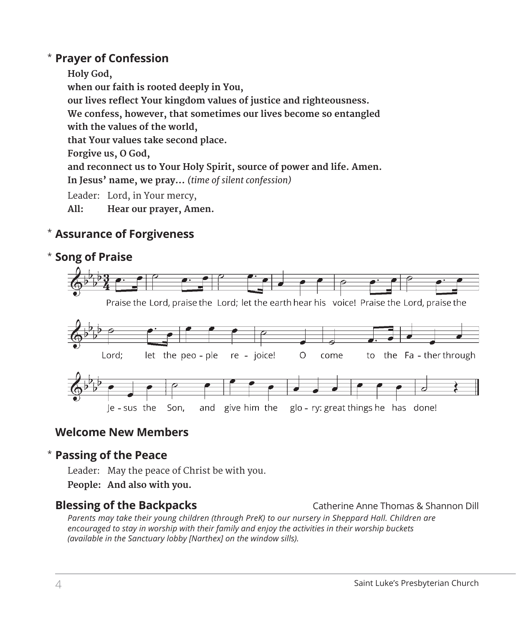## **Prayer of Confession**  \*

 **Holy God, when our faith is rooted deeply in You, our lives reflect Your kingdom values of justice and righteousness. We confess, however, that sometimes our lives become so entangled with the values of the world, that Your values take second place. Forgive us, O God, and reconnect us to Your Holy Spirit, source of power and life. Amen. In Jesus' name, we pray...** *(time of silent confession)* Leader: Lord, in Your mercy,

**All: Hear our prayer, Amen.**

# **Assurance of Forgiveness** \*

# **Song of Praise**  \*



# **Welcome New Members**

#### **Passing of the Peace** \*

Leader: May the peace of Christ be with you.

**People: And also with you.**

#### **Blessing of the Backpacks** Catherine Anne Thomas & Shannon Dill

*Parents may take their young children (through PreK) to our nursery in Sheppard Hall. Children are encouraged to stay in worship with their family and enjoy the activities in their worship buckets (available in the Sanctuary lobby [Narthex] on the window sills).*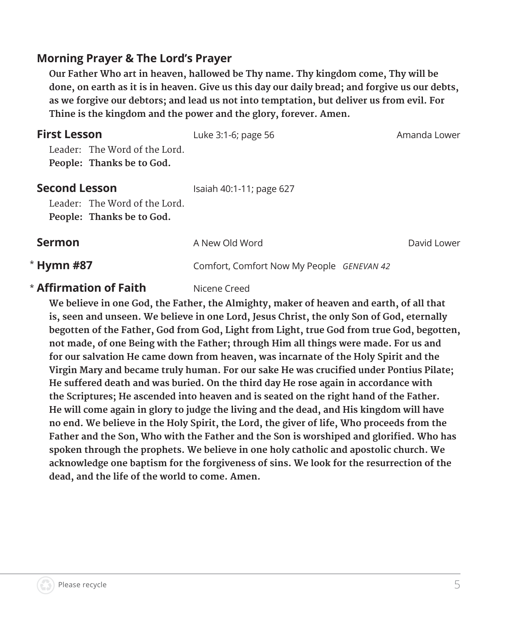# **Morning Prayer & The Lord's Prayer**

**Our Father Who art in heaven, hallowed be Thy name. Thy kingdom come, Thy will be done, on earth as it is in heaven. Give us this day our daily bread; and forgive us our debts, as we forgive our debtors; and lead us not into temptation, but deliver us from evil. For Thine is the kingdom and the power and the glory, forever. Amen.**

| <b>First Lesson</b><br>Leader: The Word of the Lord.<br>People: Thanks be to God.  | Luke 3:1-6; page 56                       | Amanda Lower |
|------------------------------------------------------------------------------------|-------------------------------------------|--------------|
| <b>Second Lesson</b><br>Leader: The Word of the Lord.<br>People: Thanks be to God. | Isaiah 40:1-11; page 627                  |              |
| <b>Sermon</b>                                                                      | A New Old Word                            | David Lower  |
| * Hymn #87                                                                         | Comfort, Comfort Now My People GENEVAN 42 |              |
|                                                                                    |                                           |              |

#### \* **Affirmation of Faith** Nicene Creed

**We believe in one God, the Father, the Almighty, maker of heaven and earth, of all that is, seen and unseen. We believe in one Lord, Jesus Christ, the only Son of God, eternally begotten of the Father, God from God, Light from Light, true God from true God, begotten, not made, of one Being with the Father; through Him all things were made. For us and for our salvation He came down from heaven, was incarnate of the Holy Spirit and the Virgin Mary and became truly human. For our sake He was crucified under Pontius Pilate; He suffered death and was buried. On the third day He rose again in accordance with the Scriptures; He ascended into heaven and is seated on the right hand of the Father. He will come again in glory to judge the living and the dead, and His kingdom will have no end. We believe in the Holy Spirit, the Lord, the giver of life, Who proceeds from the Father and the Son, Who with the Father and the Son is worshiped and glorified. Who has spoken through the prophets. We believe in one holy catholic and apostolic church. We acknowledge one baptism for the forgiveness of sins. We look for the resurrection of the dead, and the life of the world to come. Amen.**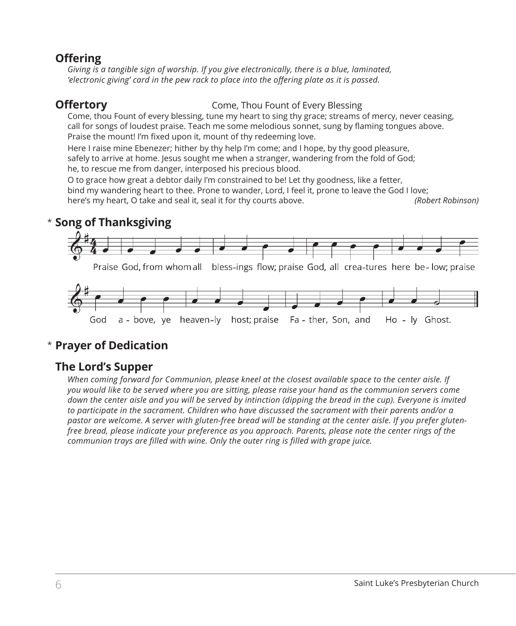# **Offering**

*Giving is a tangible sign of worship. If you give electronically, there is a blue, laminated, 'electronic giving' card in the pew rack to place into the offering plate as it is passed.* 

**Offertory** Come, Thou Fount of Every Blessing

 Come, thou Fount of every blessing, tune my heart to sing thy grace; streams of mercy, never ceasing, call for songs of loudest praise. Teach me some melodious sonnet, sung by flaming tongues above. Praise the mount! I'm fixed upon it, mount of thy redeeming love.

 Here I raise mine Ebenezer; hither by thy help I'm come; and I hope, by thy good pleasure, safely to arrive at home. Jesus sought me when a stranger, wandering from the fold of God; he, to rescue me from danger, interposed his precious blood.

 O to grace how great a debtor daily I'm constrained to be! Let thy goodness, like a fetter, bind my wandering heart to thee. Prone to wander, Lord, I feel it, prone to leave the God I love; here's my heart, O take and seal it, seal it for thy courts above. *(Robert Robinson)*

# **Song of Thanksgiving** \*



# **Prayer of Dedication** \*

# **The Lord's Supper**

*When coming forward for Communion, please kneel at the closest available space to the center aisle. If you would like to be served where you are sitting, please raise your hand as the communion servers come down the center aisle and you will be served by intinction (dipping the bread in the cup). Everyone is invited to participate in the sacrament. Children who have discussed the sacrament with their parents and/or a pastor are welcome. A server with gluten-free bread will be standing at the center aisle. If you prefer glutenfree bread, please indicate your preference as you approach. Parents, please note the center rings of the communion trays are filled with wine. Only the outer ring is filled with grape juice.*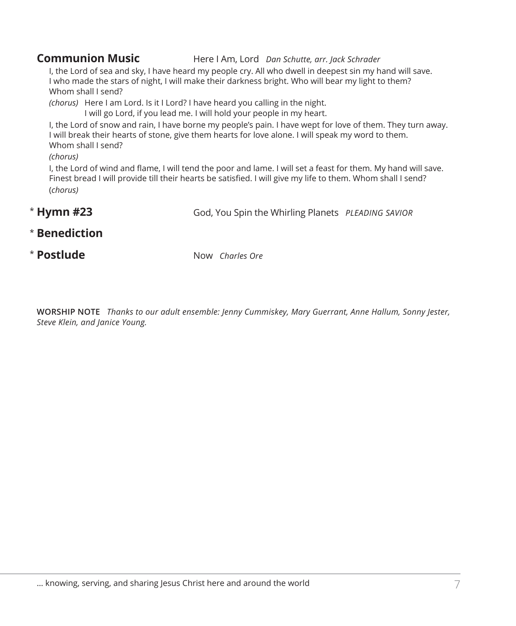#### **Communion Music** Here I Am, Lord *Dan Schutte, arr. Jack Schrader*

I, the Lord of sea and sky, I have heard my people cry. All who dwell in deepest sin my hand will save. I who made the stars of night, I will make their darkness bright. Who will bear my light to them? Whom shall I send?

*(chorus)* Here I am Lord. Is it I Lord? I have heard you calling in the night.

I will go Lord, if you lead me. I will hold your people in my heart. I, the Lord of snow and rain, I have borne my people's pain. I have wept for love of them. They turn away.

I will break their hearts of stone, give them hearts for love alone. I will speak my word to them. Whom shall I send?

*(chorus)*

I, the Lord of wind and flame, I will tend the poor and lame. I will set a feast for them. My hand will save. Finest bread I will provide till their hearts be satisfied. I will give my life to them. Whom shall I send? (*chorus)*

- **Hymn #23** God, You Spin the Whirling Planets *PLEADING SAVIOR* \* Hymn #23
- **Benediction** \*
- \* Postlude

**Postlude** Now *Charles Ore*

**WORSHIP NOTE** *Thanks to our adult ensemble: Jenny Cummiskey, Mary Guerrant, Anne Hallum, Sonny Jester, Steve Klein, and Janice Young.*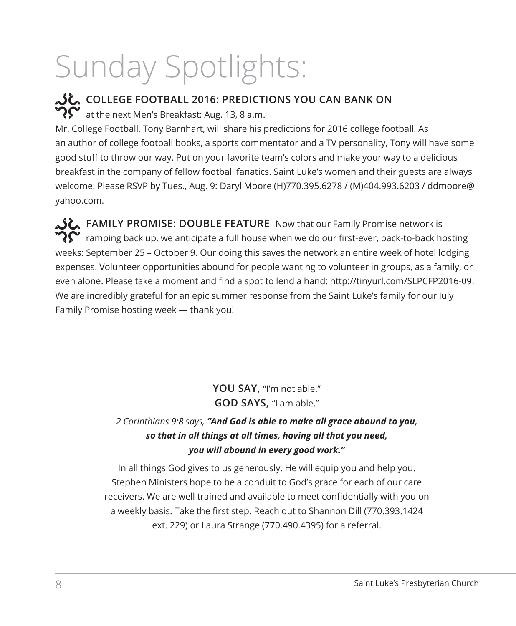# Sunday Spotlights:

**COLLEGE FOOTBALL 2016: PREDICTIONS YOU CAN BANK ON**  $\mathbf{P}$  at the next Men's Breakfast: Aug. 13, 8 a.m. Mr. College Football, Tony Barnhart, will share his predictions for 2016 college football. As an author of college football books, a sports commentator and a TV personality, Tony will have some good stuff to throw our way. Put on your favorite team's colors and make your way to a delicious breakfast in the company of fellow football fanatics. Saint Luke's women and their guests are always welcome. Please RSVP by Tues., Aug. 9: Daryl Moore (H)770.395.6278 / (M)404.993.6203 / ddmoore@ yahoo.com.

**FAMILY PROMISE: DOUBLE FEATURE** Now that our Family Promise network is  $\boldsymbol{?} \boldsymbol{\Omega}^{\boldsymbol{\bullet}}$  ramping back up, we anticipate a full house when we do our first-ever, back-to-back hosting weeks: September 25 – October 9. Our doing this saves the network an entire week of hotel lodging expenses. Volunteer opportunities abound for people wanting to volunteer in groups, as a family, or even alone. Please take a moment and find a spot to lend a hand: http://tinyurl.com/SLPCFP2016-09. We are incredibly grateful for an epic summer response from the Saint Luke's family for our July Family Promise hosting week — thank you!

> **YOU SAY,** "I'm not able." **GOD SAYS,** "I am able."

# *2 Corinthians 9:8 says, "And God is able to make all grace abound to you, so that in all things at all times, having all that you need, you will abound in every good work."*

In all things God gives to us generously. He will equip you and help you. Stephen Ministers hope to be a conduit to God's grace for each of our care receivers. We are well trained and available to meet confidentially with you on a weekly basis. Take the first step. Reach out to Shannon Dill (770.393.1424 ext. 229) or Laura Strange (770.490.4395) for a referral.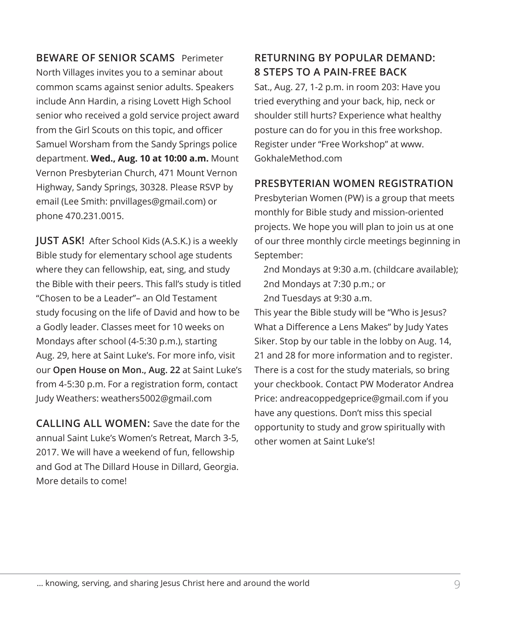**BEWARE OF SENIOR SCAMS** Perimeter North Villages invites you to a seminar about common scams against senior adults. Speakers include Ann Hardin, a rising Lovett High School senior who received a gold service project award from the Girl Scouts on this topic, and officer Samuel Worsham from the Sandy Springs police department. **Wed., Aug. 10 at 10:00 a.m.** Mount Vernon Presbyterian Church, 471 Mount Vernon Highway, Sandy Springs, 30328. Please RSVP by email (Lee Smith: pnvillages@gmail.com) or phone 470.231.0015.

**JUST ASK!** After School Kids (A.S.K.) is a weekly Bible study for elementary school age students where they can fellowship, eat, sing, and study the Bible with their peers. This fall's study is titled "Chosen to be a Leader"– an Old Testament study focusing on the life of David and how to be a Godly leader. Classes meet for 10 weeks on Mondays after school (4-5:30 p.m.), starting Aug. 29, here at Saint Luke's. For more info, visit our **Open House on Mon., Aug. 22** at Saint Luke's from 4-5:30 p.m. For a registration form, contact Judy Weathers: weathers5002@gmail.com

**CALLING ALL WOMEN:** Save the date for the annual Saint Luke's Women's Retreat, March 3-5, 2017. We will have a weekend of fun, fellowship and God at The Dillard House in Dillard, Georgia. More details to come!

# **RETURNING BY POPULAR DEMAND: 8 STEPS TO A PAIN-FREE BACK**

Sat., Aug. 27, 1-2 p.m. in room 203: Have you tried everything and your back, hip, neck or shoulder still hurts? Experience what healthy posture can do for you in this free workshop. Register under "Free Workshop" at www. GokhaleMethod.com

### **PRESBYTERIAN WOMEN REGISTRATION**

Presbyterian Women (PW) is a group that meets monthly for Bible study and mission-oriented projects. We hope you will plan to join us at one of our three monthly circle meetings beginning in September:

2nd Mondays at 9:30 a.m. (childcare available); 2nd Mondays at 7:30 p.m.; or 2nd Tuesdays at 9:30 a.m.

This year the Bible study will be "Who is Jesus? What a Difference a Lens Makes" by Judy Yates Siker. Stop by our table in the lobby on Aug. 14, 21 and 28 for more information and to register. There is a cost for the study materials, so bring your checkbook. Contact PW Moderator Andrea Price: andreacoppedgeprice@gmail.com if you have any questions. Don't miss this special opportunity to study and grow spiritually with other women at Saint Luke's!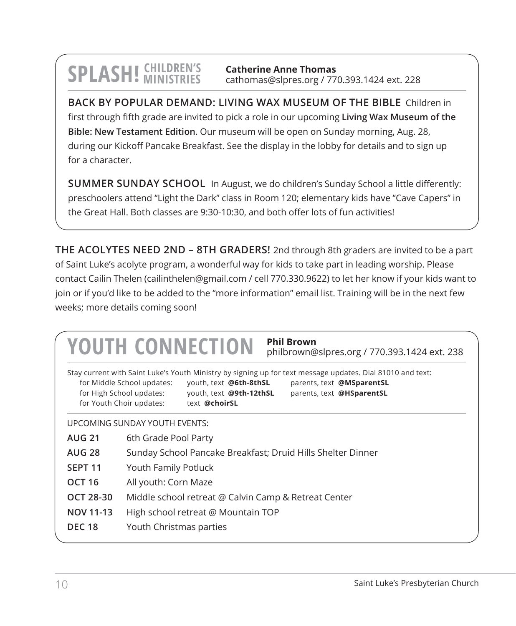# **SPLASH!** CHILDREN'S

**Catherine Anne Thomas** cathomas@slpres.org / 770.393.1424 ext. 228

**BACK BY POPULAR DEMAND: LIVING WAX MUSEUM OF THE BIBLE** Children in first through fifth grade are invited to pick a role in our upcoming **Living Wax Museum of the Bible: New Testament Edition**. Our museum will be open on Sunday morning, Aug. 28, during our Kickoff Pancake Breakfast. See the display in the lobby for details and to sign up for a character.

**SUMMER SUNDAY SCHOOL** In August, we do children's Sunday School a little differently: preschoolers attend "Light the Dark" class in Room 120; elementary kids have "Cave Capers" in the Great Hall. Both classes are 9:30-10:30, and both offer lots of fun activities!

**THE ACOLYTES NEED 2ND – 8TH GRADERS!** 2nd through 8th graders are invited to be a part of Saint Luke's acolyte program, a wonderful way for kids to take part in leading worship. Please contact Cailin Thelen (cailinthelen@gmail.com / cell 770.330.9622) to let her know if your kids want to join or if you'd like to be added to the "more information" email list. Training will be in the next few weeks; more details coming soon!

|                    | <b>Phil Brown</b><br><b>YOUTH CONNECTION</b><br>philbrown@slpres.org / 770.393.1424 ext. 238                                                                                                                                                                                                                                     |  |  |
|--------------------|----------------------------------------------------------------------------------------------------------------------------------------------------------------------------------------------------------------------------------------------------------------------------------------------------------------------------------|--|--|
|                    | Stay current with Saint Luke's Youth Ministry by signing up for text message updates. Dial 81010 and text:<br>for Middle School updates:<br>youth, text @6th-8thSL<br>parents, text @MSparentSL<br>for High School updates:<br>youth, text @9th-12thSL<br>parents, text @HSparentSL<br>for Youth Choir updates:<br>text @choirSL |  |  |
|                    | UPCOMING SUNDAY YOUTH EVENTS:                                                                                                                                                                                                                                                                                                    |  |  |
| <b>AUG 21</b>      | 6th Grade Pool Party                                                                                                                                                                                                                                                                                                             |  |  |
| <b>AUG 28</b>      | Sunday School Pancake Breakfast; Druid Hills Shelter Dinner                                                                                                                                                                                                                                                                      |  |  |
| SEPT <sub>11</sub> | Youth Family Potluck                                                                                                                                                                                                                                                                                                             |  |  |
| <b>OCT 16</b>      | All youth: Corn Maze                                                                                                                                                                                                                                                                                                             |  |  |
| OCT 28-30          | Middle school retreat @ Calvin Camp & Retreat Center                                                                                                                                                                                                                                                                             |  |  |
| <b>NOV 11-13</b>   | High school retreat @ Mountain TOP                                                                                                                                                                                                                                                                                               |  |  |
| <b>DEC 18</b>      | Youth Christmas parties                                                                                                                                                                                                                                                                                                          |  |  |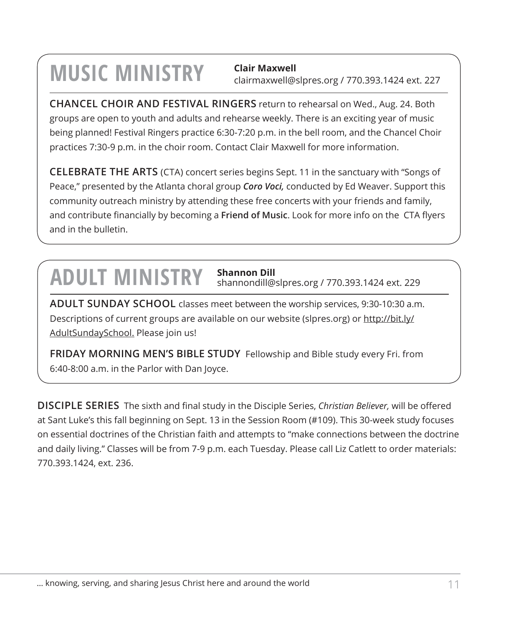# **MUSIC MINISTRY Clair Maxwell**

clairmaxwell@slpres.org / 770.393.1424 ext. 227

**CHANCEL CHOIR AND FESTIVAL RINGERS** return to rehearsal on Wed., Aug. 24. Both groups are open to youth and adults and rehearse weekly. There is an exciting year of music being planned! Festival Ringers practice 6:30-7:20 p.m. in the bell room, and the Chancel Choir practices 7:30-9 p.m. in the choir room. Contact Clair Maxwell for more information.

**CELEBRATE THE ARTS** (CTA) concert series begins Sept. 11 in the sanctuary with "Songs of Peace," presented by the Atlanta choral group *Coro Voci,* conducted by Ed Weaver. Support this community outreach ministry by attending these free concerts with your friends and family, and contribute financially by becoming a **Friend of Music**. Look for more info on the CTA flyers and in the bulletin.

# **ADULT MINISTRY Shannon Dill**

shannondill@slpres.org / 770.393.1424 ext. 229

**ADULT SUNDAY SCHOOL** classes meet between the worship services, 9:30-10:30 a.m. Descriptions of current groups are available on our website (slpres.org) or http://bit.ly/ AdultSundaySchool. Please join us!

**FRIDAY MORNING MEN'S BIBLE STUDY** Fellowship and Bible study every Fri. from 6:40-8:00 a.m. in the Parlor with Dan Joyce.

**DISCIPLE SERIES** The sixth and final study in the Disciple Series, *Christian Believer,* will be offered at Sant Luke's this fall beginning on Sept. 13 in the Session Room (#109). This 30-week study focuses on essential doctrines of the Christian faith and attempts to "make connections between the doctrine and daily living." Classes will be from 7-9 p.m. each Tuesday. Please call Liz Catlett to order materials: 770.393.1424, ext. 236.